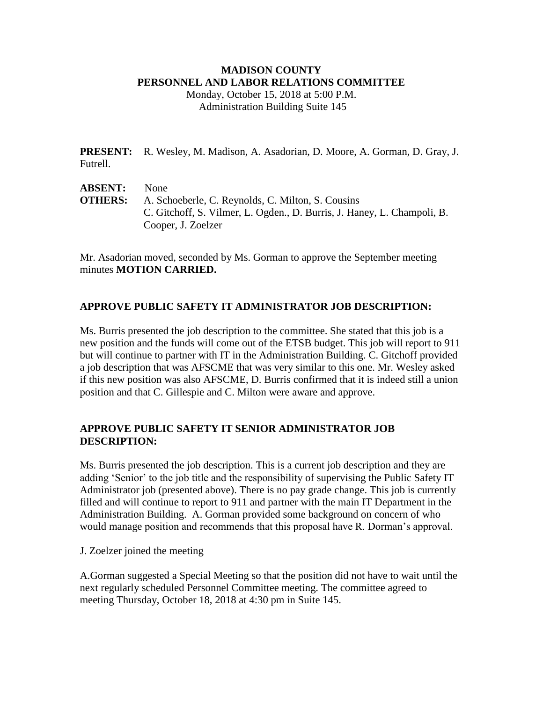## **MADISON COUNTY PERSONNEL AND LABOR RELATIONS COMMITTEE**

Monday, October 15, 2018 at 5:00 P.M. Administration Building Suite 145

**PRESENT:** R. Wesley, M. Madison, A. Asadorian, D. Moore, A. Gorman, D. Gray, J. Futrell.

| <b>ABSENT:</b> | <b>None</b>                                                             |
|----------------|-------------------------------------------------------------------------|
| <b>OTHERS:</b> | A. Schoeberle, C. Reynolds, C. Milton, S. Cousins                       |
|                | C. Gitchoff, S. Vilmer, L. Ogden., D. Burris, J. Haney, L. Champoli, B. |
|                | Cooper, J. Zoelzer                                                      |

Mr. Asadorian moved, seconded by Ms. Gorman to approve the September meeting minutes **MOTION CARRIED.**

## **APPROVE PUBLIC SAFETY IT ADMINISTRATOR JOB DESCRIPTION:**

Ms. Burris presented the job description to the committee. She stated that this job is a new position and the funds will come out of the ETSB budget. This job will report to 911 but will continue to partner with IT in the Administration Building. C. Gitchoff provided a job description that was AFSCME that was very similar to this one. Mr. Wesley asked if this new position was also AFSCME, D. Burris confirmed that it is indeed still a union position and that C. Gillespie and C. Milton were aware and approve.

# **APPROVE PUBLIC SAFETY IT SENIOR ADMINISTRATOR JOB DESCRIPTION:**

Ms. Burris presented the job description. This is a current job description and they are adding 'Senior' to the job title and the responsibility of supervising the Public Safety IT Administrator job (presented above). There is no pay grade change. This job is currently filled and will continue to report to 911 and partner with the main IT Department in the Administration Building. A. Gorman provided some background on concern of who would manage position and recommends that this proposal have R. Dorman's approval.

## J. Zoelzer joined the meeting

A.Gorman suggested a Special Meeting so that the position did not have to wait until the next regularly scheduled Personnel Committee meeting. The committee agreed to meeting Thursday, October 18, 2018 at 4:30 pm in Suite 145.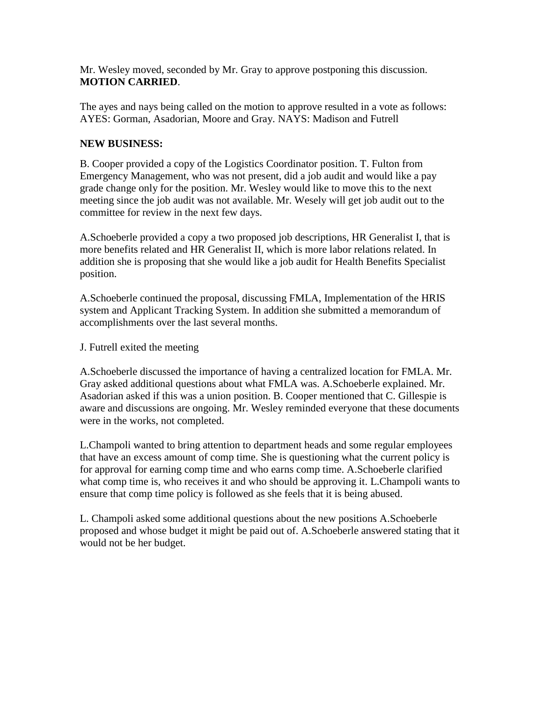Mr. Wesley moved, seconded by Mr. Gray to approve postponing this discussion. **MOTION CARRIED**.

The ayes and nays being called on the motion to approve resulted in a vote as follows: AYES: Gorman, Asadorian, Moore and Gray. NAYS: Madison and Futrell

## **NEW BUSINESS:**

B. Cooper provided a copy of the Logistics Coordinator position. T. Fulton from Emergency Management, who was not present, did a job audit and would like a pay grade change only for the position. Mr. Wesley would like to move this to the next meeting since the job audit was not available. Mr. Wesely will get job audit out to the committee for review in the next few days.

A.Schoeberle provided a copy a two proposed job descriptions, HR Generalist I, that is more benefits related and HR Generalist II, which is more labor relations related. In addition she is proposing that she would like a job audit for Health Benefits Specialist position.

A.Schoeberle continued the proposal, discussing FMLA, Implementation of the HRIS system and Applicant Tracking System. In addition she submitted a memorandum of accomplishments over the last several months.

J. Futrell exited the meeting

A.Schoeberle discussed the importance of having a centralized location for FMLA. Mr. Gray asked additional questions about what FMLA was. A.Schoeberle explained. Mr. Asadorian asked if this was a union position. B. Cooper mentioned that C. Gillespie is aware and discussions are ongoing. Mr. Wesley reminded everyone that these documents were in the works, not completed.

L.Champoli wanted to bring attention to department heads and some regular employees that have an excess amount of comp time. She is questioning what the current policy is for approval for earning comp time and who earns comp time. A.Schoeberle clarified what comp time is, who receives it and who should be approving it. L.Champoli wants to ensure that comp time policy is followed as she feels that it is being abused.

L. Champoli asked some additional questions about the new positions A.Schoeberle proposed and whose budget it might be paid out of. A.Schoeberle answered stating that it would not be her budget.